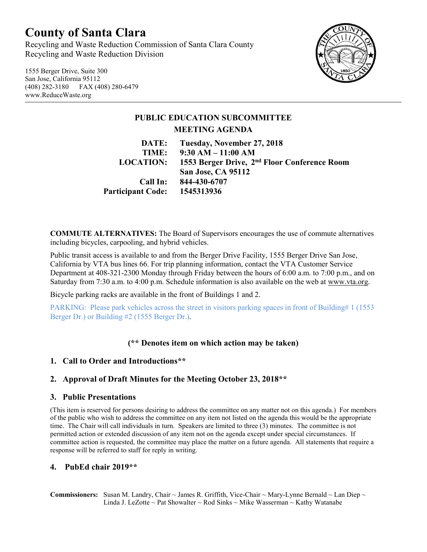# **County of Santa Clara**

Recycling and Waste Reduction Commission of Santa Clara County Recycling and Waste Reduction Division

1555 Berger Drive, Suite 300 San Jose, California 95112 (408) 282-3180 FAX (408) 280-6479 www.ReduceWaste.org



# **PUBLIC EDUCATION SUBCOMMITTEE MEETING AGENDA DATE: Tuesday, November 27, 2018 TIME: 9:30 AM – 11:00 AM LOCATION: 1553 Berger Drive, 2nd Floor Conference Room San Jose, CA 95112**

**Call In: 844-430-6707 Participant Code: 1545313936**

**COMMUTE ALTERNATIVES:** The Board of Supervisors encourages the use of commute alternatives including bicycles, carpooling, and hybrid vehicles.

Public transit access is available to and from the Berger Drive Facility, 1555 Berger Drive San Jose, California by VTA bus lines 66. For trip planning information, contact the VTA Customer Service Department at 408-321-2300 Monday through Friday between the hours of 6:00 a.m. to 7:00 p.m., and on Saturday from 7:30 a.m. to 4:00 p.m. Schedule information is also available on the web at [www.vta.org.](http://www.vta.org/)

Bicycle parking racks are available in the front of Buildings 1 and 2.

PARKING: Please park vehicles across the street in visitors parking spaces in front of Building# 1 (1553 Berger Dr.) or Building #2 (1555 Berger Dr.).

## **(\*\* Denotes item on which action may be taken)**

### **1. Call to Order and Introductions\*\***

### **2. Approval of Draft Minutes for the Meeting October 23, 2018\*\***

#### **3. Public Presentations**

(This item is reserved for persons desiring to address the committee on any matter not on this agenda.) For members of the public who wish to address the committee on any item not listed on the agenda this would be the appropriate time. The Chair will call individuals in turn. Speakers are limited to three (3) minutes. The committee is not permitted action or extended discussion of any item not on the agenda except under special circumstances. If committee action is requested, the committee may place the matter on a future agenda. All statements that require a response will be referred to staff for reply in writing.

#### **4. PubEd chair 2019\*\***

**Commissioners:** Susan M. Landry, Chair ~ James R. Griffith, Vice-Chair ~ Mary-Lynne Bernald ~ Lan Diep ~ Linda J. LeZotte ~ Pat Showalter ~ Rod Sinks ~ Mike Wasserman ~ Kathy Watanabe